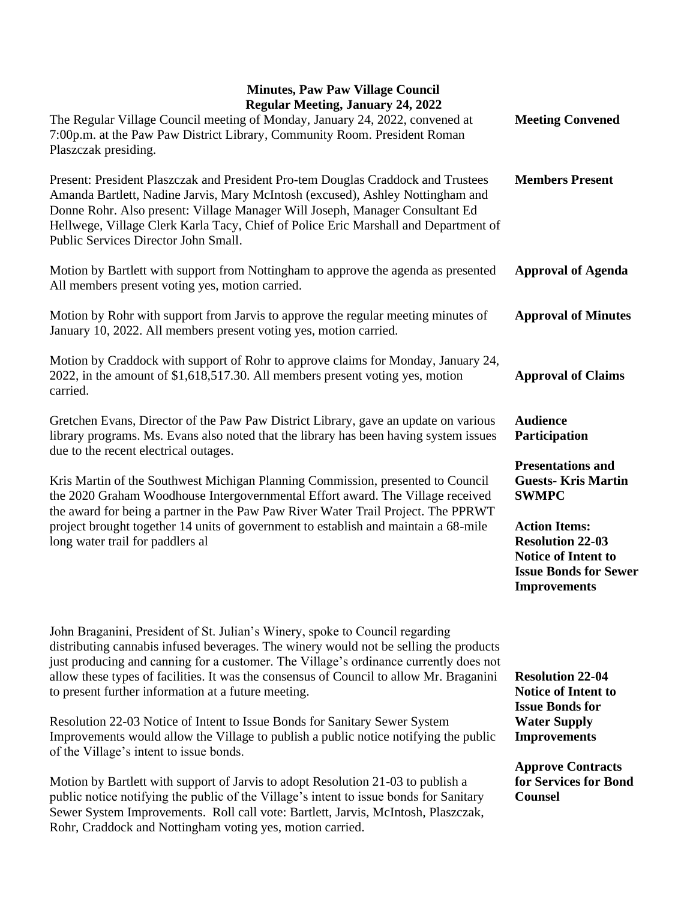| <b>Regular Meeting, January 24, 2022</b><br>The Regular Village Council meeting of Monday, January 24, 2022, convened at<br>7:00p.m. at the Paw Paw District Library, Community Room. President Roman<br>Plaszczak presiding.                                                                                                                                                                                    | <b>Meeting Convened</b>                                                                                                              |
|------------------------------------------------------------------------------------------------------------------------------------------------------------------------------------------------------------------------------------------------------------------------------------------------------------------------------------------------------------------------------------------------------------------|--------------------------------------------------------------------------------------------------------------------------------------|
| Present: President Plaszczak and President Pro-tem Douglas Craddock and Trustees<br>Amanda Bartlett, Nadine Jarvis, Mary McIntosh (excused), Ashley Nottingham and<br>Donne Rohr. Also present: Village Manager Will Joseph, Manager Consultant Ed<br>Hellwege, Village Clerk Karla Tacy, Chief of Police Eric Marshall and Department of<br>Public Services Director John Small.                                | <b>Members Present</b>                                                                                                               |
| Motion by Bartlett with support from Nottingham to approve the agenda as presented<br>All members present voting yes, motion carried.                                                                                                                                                                                                                                                                            | <b>Approval of Agenda</b>                                                                                                            |
| Motion by Rohr with support from Jarvis to approve the regular meeting minutes of<br>January 10, 2022. All members present voting yes, motion carried.                                                                                                                                                                                                                                                           | <b>Approval of Minutes</b>                                                                                                           |
| Motion by Craddock with support of Rohr to approve claims for Monday, January 24,<br>2022, in the amount of \$1,618,517.30. All members present voting yes, motion<br>carried.                                                                                                                                                                                                                                   | <b>Approval of Claims</b>                                                                                                            |
| Gretchen Evans, Director of the Paw Paw District Library, gave an update on various<br>library programs. Ms. Evans also noted that the library has been having system issues<br>due to the recent electrical outages.                                                                                                                                                                                            | <b>Audience</b><br>Participation<br><b>Presentations and</b>                                                                         |
| Kris Martin of the Southwest Michigan Planning Commission, presented to Council<br>the 2020 Graham Woodhouse Intergovernmental Effort award. The Village received<br>the award for being a partner in the Paw Paw River Water Trail Project. The PPRWT<br>project brought together 14 units of government to establish and maintain a 68-mile<br>long water trail for paddlers al                                | <b>Guests-Kris Martin</b><br><b>SWMPC</b>                                                                                            |
|                                                                                                                                                                                                                                                                                                                                                                                                                  | <b>Action Items:</b><br><b>Resolution 22-03</b><br><b>Notice of Intent to</b><br><b>Issue Bonds for Sewer</b><br><b>Improvements</b> |
| John Braganini, President of St. Julian's Winery, spoke to Council regarding<br>distributing cannabis infused beverages. The winery would not be selling the products<br>just producing and canning for a customer. The Village's ordinance currently does not<br>allow these types of facilities. It was the consensus of Council to allow Mr. Braganini<br>to present further information at a future meeting. | <b>Resolution 22-04</b><br><b>Notice of Intent to</b><br><b>Issue Bonds for</b>                                                      |
| Resolution 22-03 Notice of Intent to Issue Bonds for Sanitary Sewer System<br>Improvements would allow the Village to publish a public notice notifying the public<br>of the Village's intent to issue bonds.                                                                                                                                                                                                    | <b>Water Supply</b><br><b>Improvements</b>                                                                                           |
| Motion by Bartlett with support of Jarvis to adopt Resolution 21-03 to publish a<br>public notice notifying the public of the Village's intent to issue bonds for Sanitary<br>Sewer System Improvements. Roll call vote: Bartlett, Jarvis, McIntosh, Plaszczak,<br>Rohr, Craddock and Nottingham voting yes, motion carried.                                                                                     | <b>Approve Contracts</b><br>for Services for Bond<br><b>Counsel</b>                                                                  |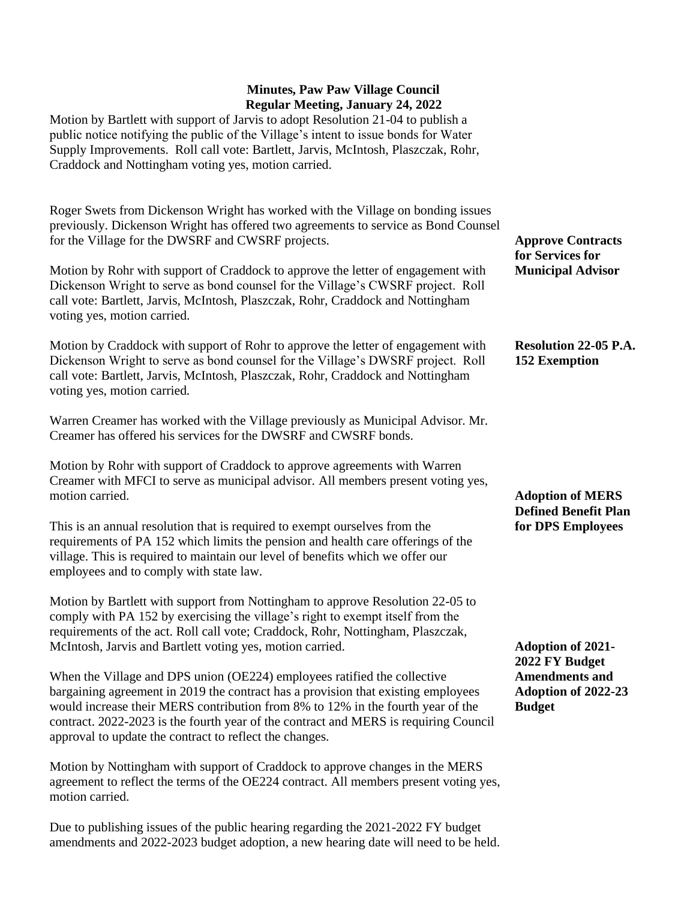Motion by Bartlett with support of Jarvis to adopt Resolution 21-04 to publish a public notice notifying the public of the Village's intent to issue bonds for Water Supply Improvements. Roll call vote: Bartlett, Jarvis, McIntosh, Plaszczak, Rohr, Craddock and Nottingham voting yes, motion carried.

Roger Swets from Dickenson Wright has worked with the Village on bonding issues previously. Dickenson Wright has offered two agreements to service as Bond Counsel for the Village for the DWSRF and CWSRF projects.

Motion by Rohr with support of Craddock to approve the letter of engagement with Dickenson Wright to serve as bond counsel for the Village's CWSRF project. Roll call vote: Bartlett, Jarvis, McIntosh, Plaszczak, Rohr, Craddock and Nottingham voting yes, motion carried.

Motion by Craddock with support of Rohr to approve the letter of engagement with Dickenson Wright to serve as bond counsel for the Village's DWSRF project. Roll call vote: Bartlett, Jarvis, McIntosh, Plaszczak, Rohr, Craddock and Nottingham voting yes, motion carried.

Warren Creamer has worked with the Village previously as Municipal Advisor. Mr. Creamer has offered his services for the DWSRF and CWSRF bonds.

Motion by Rohr with support of Craddock to approve agreements with Warren Creamer with MFCI to serve as municipal advisor. All members present voting yes, motion carried.

This is an annual resolution that is required to exempt ourselves from the requirements of PA 152 which limits the pension and health care offerings of the village. This is required to maintain our level of benefits which we offer our employees and to comply with state law.

Motion by Bartlett with support from Nottingham to approve Resolution 22-05 to comply with PA 152 by exercising the village's right to exempt itself from the requirements of the act. Roll call vote; Craddock, Rohr, Nottingham, Plaszczak, McIntosh, Jarvis and Bartlett voting yes, motion carried.

When the Village and DPS union (OE224) employees ratified the collective bargaining agreement in 2019 the contract has a provision that existing employees would increase their MERS contribution from 8% to 12% in the fourth year of the contract. 2022-2023 is the fourth year of the contract and MERS is requiring Council approval to update the contract to reflect the changes.

Motion by Nottingham with support of Craddock to approve changes in the MERS agreement to reflect the terms of the OE224 contract. All members present voting yes, motion carried.

Due to publishing issues of the public hearing regarding the 2021-2022 FY budget amendments and 2022-2023 budget adoption, a new hearing date will need to be held. **Approve Contracts for Services for Municipal Advisor**

## **Resolution 22-05 P.A. 152 Exemption**

# **Adoption of MERS Defined Benefit Plan for DPS Employees**

**Adoption of 2021- 2022 FY Budget Amendments and Adoption of 2022-23 Budget**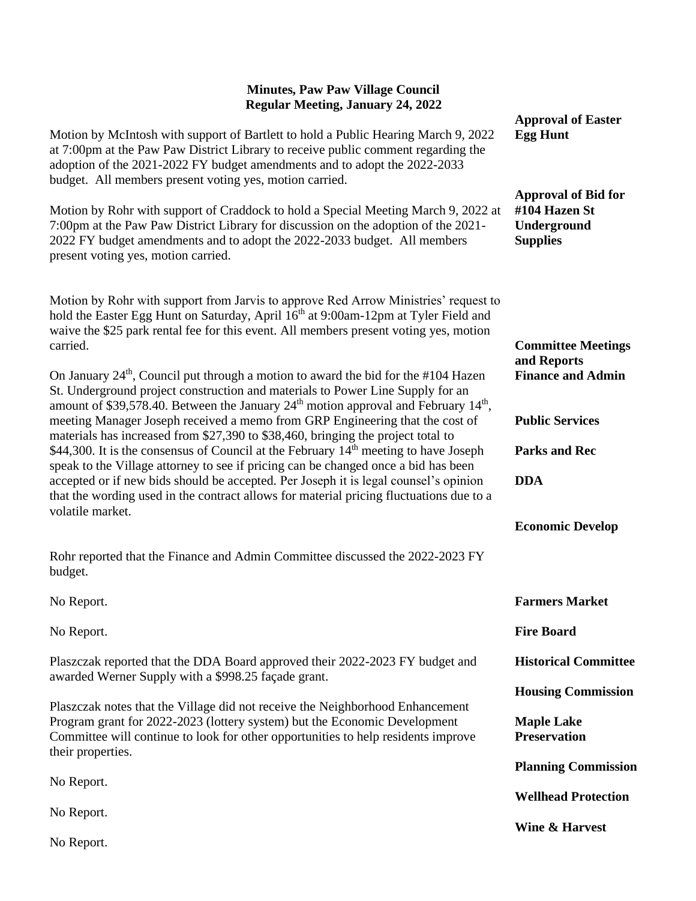| Regular Meeting, January 24, 2022                                                                                                                                                                                                                                                                                                                                                                                                                                                                                                                                                                                                                                                                                                                                                                                                                |                                                                               |
|--------------------------------------------------------------------------------------------------------------------------------------------------------------------------------------------------------------------------------------------------------------------------------------------------------------------------------------------------------------------------------------------------------------------------------------------------------------------------------------------------------------------------------------------------------------------------------------------------------------------------------------------------------------------------------------------------------------------------------------------------------------------------------------------------------------------------------------------------|-------------------------------------------------------------------------------|
| Motion by McIntosh with support of Bartlett to hold a Public Hearing March 9, 2022<br>at 7:00pm at the Paw Paw District Library to receive public comment regarding the<br>adoption of the 2021-2022 FY budget amendments and to adopt the 2022-2033<br>budget. All members present voting yes, motion carried.                                                                                                                                                                                                                                                                                                                                                                                                                                                                                                                                  | <b>Approval of Easter</b><br><b>Egg Hunt</b>                                  |
| Motion by Rohr with support of Craddock to hold a Special Meeting March 9, 2022 at<br>7:00pm at the Paw Paw District Library for discussion on the adoption of the 2021-<br>2022 FY budget amendments and to adopt the 2022-2033 budget. All members<br>present voting yes, motion carried.                                                                                                                                                                                                                                                                                                                                                                                                                                                                                                                                                      | <b>Approval of Bid for</b><br>#104 Hazen St<br>Underground<br><b>Supplies</b> |
| Motion by Rohr with support from Jarvis to approve Red Arrow Ministries' request to<br>hold the Easter Egg Hunt on Saturday, April 16 <sup>th</sup> at 9:00am-12pm at Tyler Field and<br>waive the \$25 park rental fee for this event. All members present voting yes, motion<br>carried.                                                                                                                                                                                                                                                                                                                                                                                                                                                                                                                                                       | <b>Committee Meetings</b><br>and Reports<br><b>Finance and Admin</b>          |
| On January $24th$ , Council put through a motion to award the bid for the #104 Hazen<br>St. Underground project construction and materials to Power Line Supply for an<br>amount of \$39,578.40. Between the January 24 <sup>th</sup> motion approval and February 14 <sup>th</sup> ,<br>meeting Manager Joseph received a memo from GRP Engineering that the cost of<br>materials has increased from \$27,390 to \$38,460, bringing the project total to<br>\$44,300. It is the consensus of Council at the February $14th$ meeting to have Joseph<br>speak to the Village attorney to see if pricing can be changed once a bid has been<br>accepted or if new bids should be accepted. Per Joseph it is legal counsel's opinion<br>that the wording used in the contract allows for material pricing fluctuations due to a<br>volatile market. | <b>Public Services</b><br><b>Parks and Rec</b>                                |
|                                                                                                                                                                                                                                                                                                                                                                                                                                                                                                                                                                                                                                                                                                                                                                                                                                                  | <b>DDA</b><br><b>Economic Develop</b>                                         |
| Rohr reported that the Finance and Admin Committee discussed the 2022-2023 FY<br>budget.                                                                                                                                                                                                                                                                                                                                                                                                                                                                                                                                                                                                                                                                                                                                                         |                                                                               |
| No Report.                                                                                                                                                                                                                                                                                                                                                                                                                                                                                                                                                                                                                                                                                                                                                                                                                                       | <b>Farmers Market</b>                                                         |
| No Report.                                                                                                                                                                                                                                                                                                                                                                                                                                                                                                                                                                                                                                                                                                                                                                                                                                       | <b>Fire Board</b>                                                             |
| Plaszczak reported that the DDA Board approved their 2022-2023 FY budget and<br>awarded Werner Supply with a \$998.25 façade grant.                                                                                                                                                                                                                                                                                                                                                                                                                                                                                                                                                                                                                                                                                                              | <b>Historical Committee</b>                                                   |
| Plaszczak notes that the Village did not receive the Neighborhood Enhancement<br>Program grant for 2022-2023 (lottery system) but the Economic Development<br>Committee will continue to look for other opportunities to help residents improve<br>their properties.                                                                                                                                                                                                                                                                                                                                                                                                                                                                                                                                                                             | <b>Housing Commission</b>                                                     |
|                                                                                                                                                                                                                                                                                                                                                                                                                                                                                                                                                                                                                                                                                                                                                                                                                                                  | <b>Maple Lake</b><br><b>Preservation</b>                                      |
| No Report.                                                                                                                                                                                                                                                                                                                                                                                                                                                                                                                                                                                                                                                                                                                                                                                                                                       | <b>Planning Commission</b>                                                    |
| No Report.                                                                                                                                                                                                                                                                                                                                                                                                                                                                                                                                                                                                                                                                                                                                                                                                                                       | <b>Wellhead Protection</b>                                                    |
|                                                                                                                                                                                                                                                                                                                                                                                                                                                                                                                                                                                                                                                                                                                                                                                                                                                  | <b>Wine &amp; Harvest</b>                                                     |

No Report.